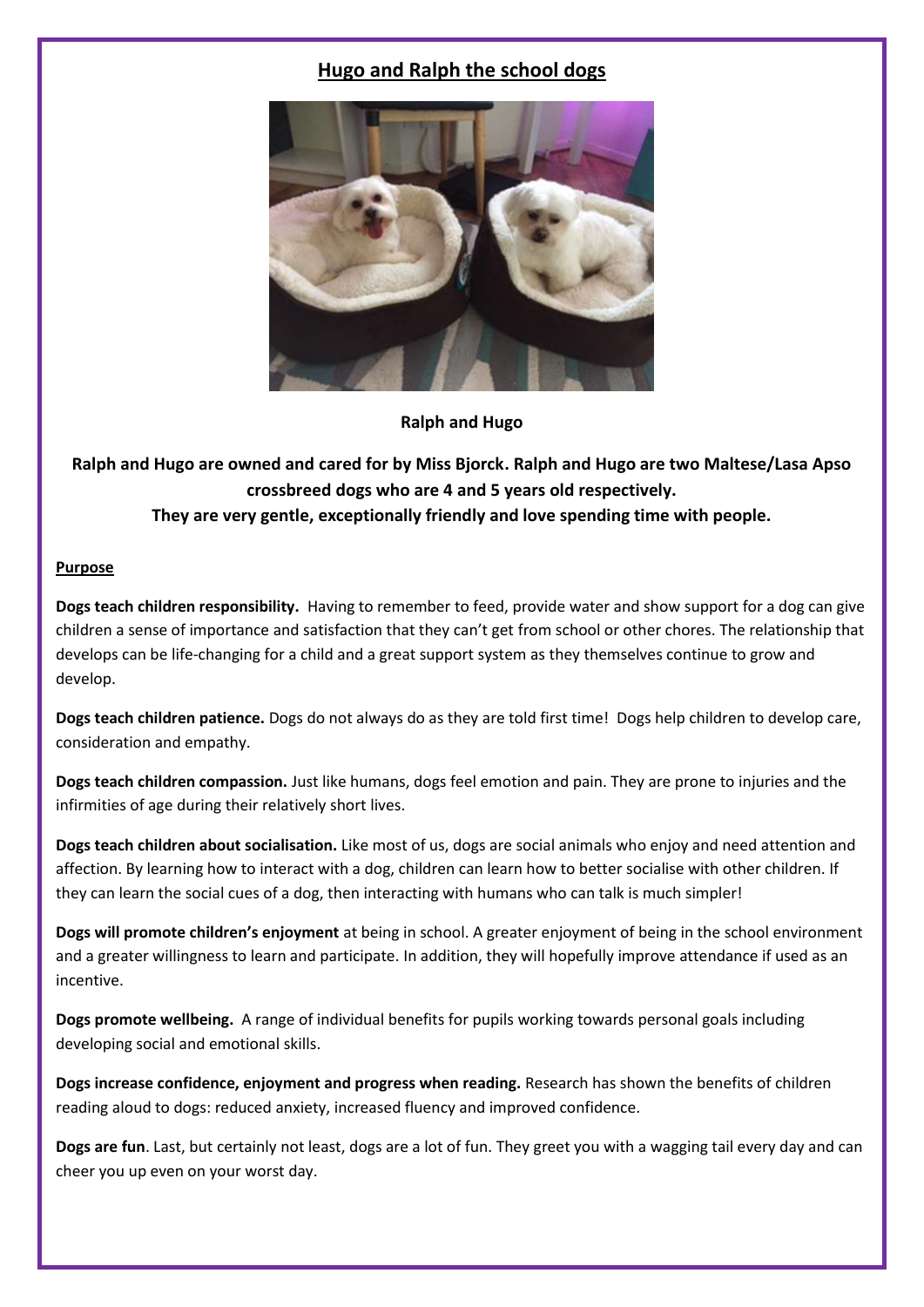# **Hugo and Ralph the school dogs**



#### **Ralph and Hugo**

**Ralph and Hugo are owned and cared for by Miss Bjorck. Ralph and Hugo are two Maltese/Lasa Apso crossbreed dogs who are 4 and 5 years old respectively.** 

**They are very gentle, exceptionally friendly and love spending time with people.** 

#### **Purpose**

**Dogs teach children responsibility.** Having to remember to feed, provide water and show support for a dog can give children a sense of importance and satisfaction that they can't get from school or other chores. The relationship that develops can be life-changing for a child and a great support system as they themselves continue to grow and develop.

**Dogs teach children patience.** Dogs do not always do as they are told first time! Dogs help children to develop care, consideration and empathy.

**Dogs teach children compassion.** Just like humans, dogs feel emotion and pain. They are prone to injuries and the infirmities of age during their relatively short lives.

**Dogs teach children about socialisation.** Like most of us, dogs are social animals who enjoy and need attention and affection. By learning how to interact with a dog, children can learn how to better socialise with other children. If they can learn the social cues of a dog, then interacting with humans who can talk is much simpler!

**Dogs will promote children's enjoyment** at being in school. A greater enjoyment of being in the school environment and a greater willingness to learn and participate. In addition, they will hopefully improve attendance if used as an incentive.

**Dogs promote wellbeing.** A range of individual benefits for pupils working towards personal goals including developing social and emotional skills.

**Dogs increase confidence, enjoyment and progress when reading.** Research has shown the benefits of children reading aloud to dogs: reduced anxiety, increased fluency and improved confidence.

**Dogs are fun**. Last, but certainly not least, dogs are a lot of fun. They greet you with a wagging tail every day and can cheer you up even on your worst day.